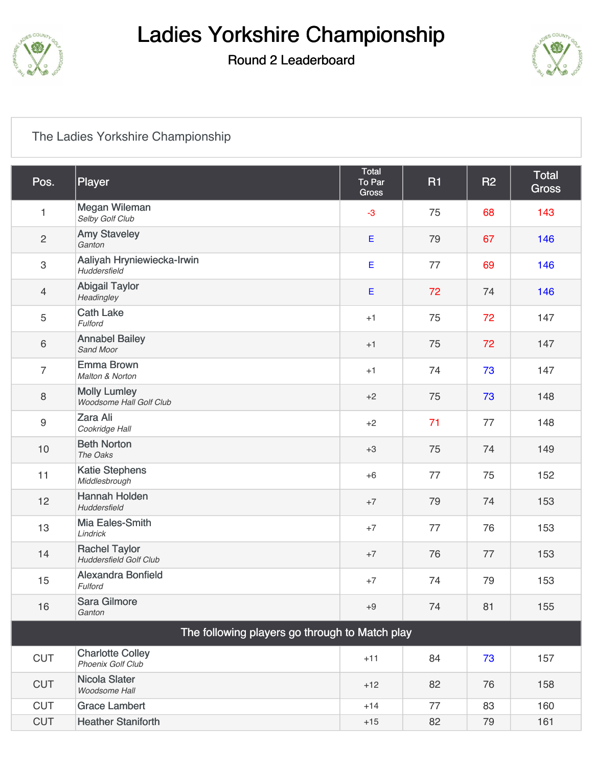

## Ladies Yorkshire Championship

#### Round 2 Leaderboard



#### [The Ladies Yorkshire Championship](https://static.golfgenius.com/v2tournaments/7934883887627411043?called_from=&round_index=2)

| Pos.                                           | Player                                                | Total<br>To Par<br><b>Gross</b> | <b>R1</b> | <b>R2</b> | Total<br><b>Gross</b> |  |  |  |
|------------------------------------------------|-------------------------------------------------------|---------------------------------|-----------|-----------|-----------------------|--|--|--|
| $\mathbf{1}$                                   | Megan Wileman<br>Selby Golf Club                      | $-3$                            | 75        | 68        | 143                   |  |  |  |
| $\sqrt{2}$                                     | <b>Amy Staveley</b><br>Ganton                         | $\mathsf E$                     | 79        | 67        | 146                   |  |  |  |
| $\,3$                                          | Aaliyah Hryniewiecka-Irwin<br>Huddersfield            | $\mathsf E$                     | 77        | 69        | 146                   |  |  |  |
| $\overline{4}$                                 | <b>Abigail Taylor</b><br>Headingley                   | Ε                               | 72        | 74        | 146                   |  |  |  |
| 5                                              | <b>Cath Lake</b><br>Fulford                           | $+1$                            | 75        | 72        | 147                   |  |  |  |
| $\,6\,$                                        | <b>Annabel Bailey</b><br>Sand Moor                    | $+1$                            | 75        | 72        | 147                   |  |  |  |
| $\overline{7}$                                 | <b>Emma Brown</b><br>Malton & Norton                  | $+1$                            | 74        | 73        | 147                   |  |  |  |
| 8                                              | <b>Molly Lumley</b><br>Woodsome Hall Golf Club        | $+2$                            | 75        | 73        | 148                   |  |  |  |
| $\boldsymbol{9}$                               | Zara Ali<br>Cookridge Hall                            | $+2$                            | 71        | 77        | 148                   |  |  |  |
| 10                                             | <b>Beth Norton</b><br>The Oaks                        | $+3$                            | 75        | 74        | 149                   |  |  |  |
| 11                                             | <b>Katie Stephens</b><br>Middlesbrough                | $+6$                            | 77        | 75        | 152                   |  |  |  |
| 12                                             | <b>Hannah Holden</b><br>Huddersfield                  | $+7$                            | 79        | 74        | 153                   |  |  |  |
| 13                                             | Mia Eales-Smith<br>Lindrick                           | $+7$                            | 77        | 76        | 153                   |  |  |  |
| 14                                             | <b>Rachel Taylor</b><br><b>Huddersfield Golf Club</b> | $+7$                            | 76        | 77        | 153                   |  |  |  |
| 15                                             | <b>Alexandra Bonfield</b><br>Fulford                  | $+7$                            | 74        | 79        | 153                   |  |  |  |
| 16                                             | Sara Gilmore<br>Ganton                                | $+9$                            | 74        | 81        | 155                   |  |  |  |
| The following players go through to Match play |                                                       |                                 |           |           |                       |  |  |  |
| <b>CUT</b>                                     | <b>Charlotte Colley</b><br>Phoenix Golf Club          | $+11$                           | 84        | 73        | 157                   |  |  |  |
| <b>CUT</b>                                     | Nicola Slater<br>Woodsome Hall                        | $+12$                           | 82        | 76        | 158                   |  |  |  |
| <b>CUT</b>                                     | <b>Grace Lambert</b>                                  | $+14$                           | 77        | 83        | 160                   |  |  |  |
| <b>CUT</b>                                     | <b>Heather Staniforth</b>                             | $+15$                           | 82        | 79        | 161                   |  |  |  |